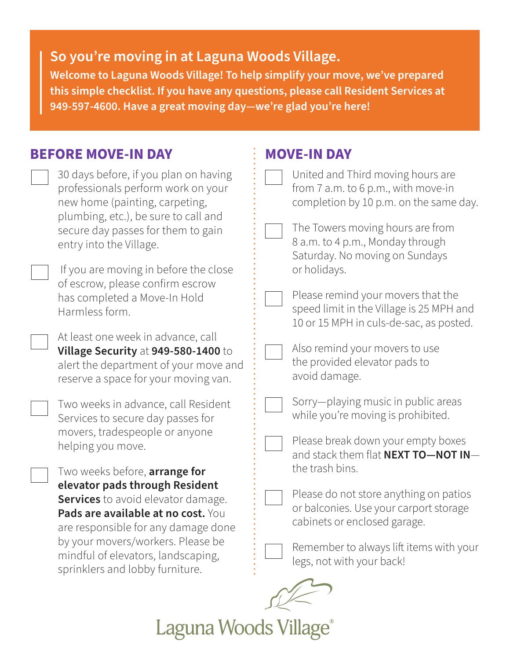## **So you're moving in at Laguna Woods Village.**

**Welcome to Laguna Woods Village! To help simplify your move, we've prepared this simple checklist. If you have any questions, please call Resident Services at 949-597-4600. Have a great moving day—we're glad you're here!**

**MOVE-IN DAY** 

## **BEFORE MOVE-IN DAY**

|  | 30 days before, if you plan on having<br>professionals perform work on your<br>new home (painting, carpeting,                                                                                                                                                   | United and Third moving hours are<br>from 7 a.m. to 6 p.m., with move-in<br>completion by 10 p.m. on the same day.        |
|--|-----------------------------------------------------------------------------------------------------------------------------------------------------------------------------------------------------------------------------------------------------------------|---------------------------------------------------------------------------------------------------------------------------|
|  | plumbing, etc.), be sure to call and<br>secure day passes for them to gain<br>entry into the Village.                                                                                                                                                           | The Towers moving hours are from<br>8 a.m. to 4 p.m., Monday through<br>Saturday. No moving on Sundays                    |
|  | If you are moving in before the close                                                                                                                                                                                                                           | or holidays.                                                                                                              |
|  | of escrow, please confirm escrow<br>has completed a Move-In Hold<br>Harmless form.                                                                                                                                                                              | Please remind your movers that the<br>speed limit in the Village is 25 MPH and<br>10 or 15 MPH in culs-de-sac, as posted. |
|  | At least one week in advance, call<br>Village Security at 949-580-1400 to<br>alert the department of your move and<br>reserve a space for your moving van.                                                                                                      | Also remind your movers to use<br>the provided elevator pads to<br>avoid damage.                                          |
|  | Two weeks in advance, call Resident<br>Services to secure day passes for                                                                                                                                                                                        | Sorry-playing music in public areas<br>while you're moving is prohibited.                                                 |
|  | movers, tradespeople or anyone<br>helping you move.                                                                                                                                                                                                             | Please break down your empty boxes<br>and stack them flat <b>NEXT TO-NOT IN-</b>                                          |
|  | Two weeks before, arrange for                                                                                                                                                                                                                                   | the trash bins.                                                                                                           |
|  | elevator pads through Resident<br>Services to avoid elevator damage.<br>Pads are available at no cost. You<br>are responsible for any damage done<br>by your movers/workers. Please be<br>mindful of elevators, landscaping,<br>sprinklers and lobby furniture. | Please do not store anything on patios<br>or balconies. Use your carport storage<br>cabinets or enclosed garage.          |
|  |                                                                                                                                                                                                                                                                 | Remember to always lift items with your<br>legs, not with your back!                                                      |
|  |                                                                                                                                                                                                                                                                 |                                                                                                                           |

Laguna Woods Village®